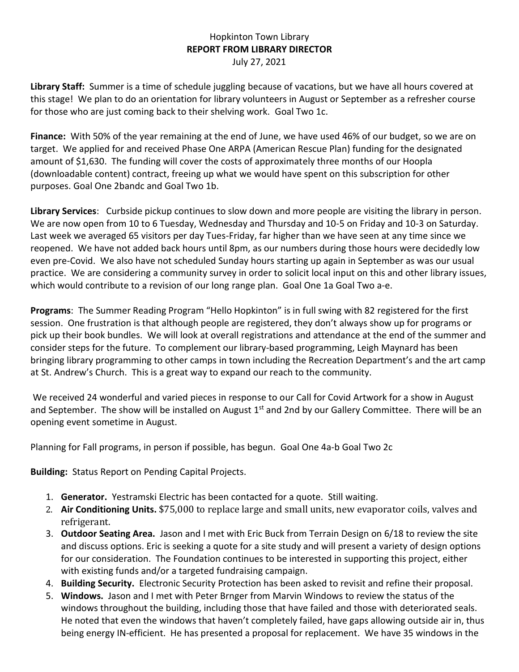## Hopkinton Town Library **REPORT FROM LIBRARY DIRECTOR** July 27, 2021

**Library Staff:** Summer is a time of schedule juggling because of vacations, but we have all hours covered at this stage! We plan to do an orientation for library volunteers in August or September as a refresher course for those who are just coming back to their shelving work. Goal Two 1c.

**Finance:** With 50% of the year remaining at the end of June, we have used 46% of our budget, so we are on target. We applied for and received Phase One ARPA (American Rescue Plan) funding for the designated amount of \$1,630. The funding will cover the costs of approximately three months of our Hoopla (downloadable content) contract, freeing up what we would have spent on this subscription for other purposes. Goal One 2bandc and Goal Two 1b.

**Library Services**: Curbside pickup continues to slow down and more people are visiting the library in person. We are now open from 10 to 6 Tuesday, Wednesday and Thursday and 10-5 on Friday and 10-3 on Saturday. Last week we averaged 65 visitors per day Tues-Friday, far higher than we have seen at any time since we reopened. We have not added back hours until 8pm, as our numbers during those hours were decidedly low even pre-Covid. We also have not scheduled Sunday hours starting up again in September as was our usual practice. We are considering a community survey in order to solicit local input on this and other library issues, which would contribute to a revision of our long range plan. Goal One 1a Goal Two a-e.

**Programs**: The Summer Reading Program "Hello Hopkinton" is in full swing with 82 registered for the first session. One frustration is that although people are registered, they don't always show up for programs or pick up their book bundles. We will look at overall registrations and attendance at the end of the summer and consider steps for the future. To complement our library-based programming, Leigh Maynard has been bringing library programming to other camps in town including the Recreation Department's and the art camp at St. Andrew's Church. This is a great way to expand our reach to the community.

We received 24 wonderful and varied pieces in response to our Call for Covid Artwork for a show in August and September. The show will be installed on August 1<sup>st</sup> and 2nd by our Gallery Committee. There will be an opening event sometime in August.

Planning for Fall programs, in person if possible, has begun. Goal One 4a-b Goal Two 2c

**Building:** Status Report on Pending Capital Projects.

- 1. **Generator.** Yestramski Electric has been contacted for a quote. Still waiting.
- 2. **Air Conditioning Units.** \$75,000 to replace large and small units, new evaporator coils, valves and refrigerant.
- 3. **Outdoor Seating Area.** Jason and I met with Eric Buck from Terrain Design on 6/18 to review the site and discuss options. Eric is seeking a quote for a site study and will present a variety of design options for our consideration. The Foundation continues to be interested in supporting this project, either with existing funds and/or a targeted fundraising campaign.
- 4. **Building Security.** Electronic Security Protection has been asked to revisit and refine their proposal.
- 5. **Windows.** Jason and I met with Peter Brnger from Marvin Windows to review the status of the windows throughout the building, including those that have failed and those with deteriorated seals. He noted that even the windows that haven't completely failed, have gaps allowing outside air in, thus being energy IN-efficient. He has presented a proposal for replacement. We have 35 windows in the